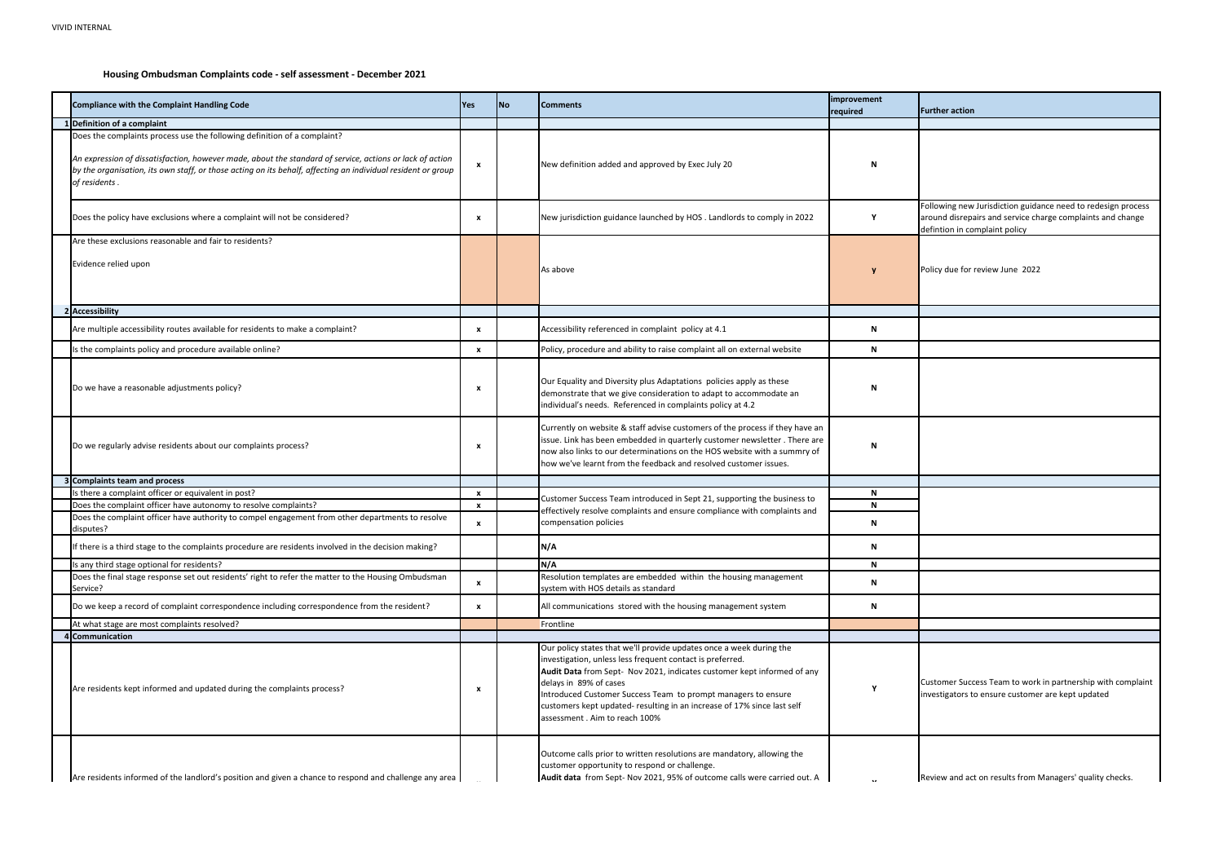## **Housing Ombudsman Complaints code - self assessment - December 2021**

| Following new Jurisdiction guidance need to redesign process |
|--------------------------------------------------------------|
| around disrepairs and service charge complaints and change   |
| defintion in complaint policy                                |
|                                                              |

Policy due for review June 2022

| <b>Compliance with the Complaint Handling Code</b>                                                                                                                                                                                                                                                                    | <b>Yes</b>   | <b>No</b> | <b>Comments</b>                                                                                                                                                                                                                                                                                                                                                                                                    | improvement<br>required |
|-----------------------------------------------------------------------------------------------------------------------------------------------------------------------------------------------------------------------------------------------------------------------------------------------------------------------|--------------|-----------|--------------------------------------------------------------------------------------------------------------------------------------------------------------------------------------------------------------------------------------------------------------------------------------------------------------------------------------------------------------------------------------------------------------------|-------------------------|
| Definition of a complaint                                                                                                                                                                                                                                                                                             |              |           |                                                                                                                                                                                                                                                                                                                                                                                                                    |                         |
| Does the complaints process use the following definition of a complaint?<br>An expression of dissatisfaction, however made, about the standard of service, actions or lack of action<br>by the organisation, its own staff, or those acting on its behalf, affecting an individual resident or group<br>of residents. | X            |           | New definition added and approved by Exec July 20                                                                                                                                                                                                                                                                                                                                                                  | N                       |
| Does the policy have exclusions where a complaint will not be considered?                                                                                                                                                                                                                                             | X            |           | New jurisdiction guidance launched by HOS . Landlords to comply in 2022                                                                                                                                                                                                                                                                                                                                            | Υ                       |
| Are these exclusions reasonable and fair to residents?                                                                                                                                                                                                                                                                |              |           |                                                                                                                                                                                                                                                                                                                                                                                                                    |                         |
| Evidence relied upon                                                                                                                                                                                                                                                                                                  |              |           | As above                                                                                                                                                                                                                                                                                                                                                                                                           |                         |
| 2 Accessibility                                                                                                                                                                                                                                                                                                       |              |           |                                                                                                                                                                                                                                                                                                                                                                                                                    |                         |
| Are multiple accessibility routes available for residents to make a complaint?                                                                                                                                                                                                                                        | x            |           | Accessibility referenced in complaint policy at 4.1                                                                                                                                                                                                                                                                                                                                                                | N                       |
| Is the complaints policy and procedure available online?                                                                                                                                                                                                                                                              | $\mathbf{x}$ |           | Policy, procedure and ability to raise complaint all on external website                                                                                                                                                                                                                                                                                                                                           | N                       |
| Do we have a reasonable adjustments policy?                                                                                                                                                                                                                                                                           | X            |           | Our Equality and Diversity plus Adaptations policies apply as these<br>demonstrate that we give consideration to adapt to accommodate an<br>individual's needs. Referenced in complaints policy at 4.2                                                                                                                                                                                                             | N                       |
| Do we regularly advise residents about our complaints process?                                                                                                                                                                                                                                                        | X            |           | Currently on website & staff advise customers of the process if they have an<br>issue. Link has been embedded in quarterly customer newsletter. There are<br>now also links to our determinations on the HOS website with a summry of<br>how we've learnt from the feedback and resolved customer issues.                                                                                                          | N                       |
| Complaints team and process                                                                                                                                                                                                                                                                                           |              |           |                                                                                                                                                                                                                                                                                                                                                                                                                    |                         |
| Is there a complaint officer or equivalent in post?                                                                                                                                                                                                                                                                   | x            |           | Customer Success Team introduced in Sept 21, supporting the business to                                                                                                                                                                                                                                                                                                                                            | N                       |
| Does the complaint officer have autonomy to resolve complaints?                                                                                                                                                                                                                                                       | x            |           | effectively resolve complaints and ensure compliance with complaints and                                                                                                                                                                                                                                                                                                                                           | N                       |
| Does the complaint officer have authority to compel engagement from other departments to resolve<br>disputes?                                                                                                                                                                                                         | x            |           | compensation policies                                                                                                                                                                                                                                                                                                                                                                                              | N                       |
| If there is a third stage to the complaints procedure are residents involved in the decision making?                                                                                                                                                                                                                  |              |           | N/A                                                                                                                                                                                                                                                                                                                                                                                                                | N                       |
| Is any third stage optional for residents?                                                                                                                                                                                                                                                                            |              |           | N/A                                                                                                                                                                                                                                                                                                                                                                                                                | N                       |
| Does the final stage response set out residents' right to refer the matter to the Housing Ombudsman<br>Service?                                                                                                                                                                                                       | x            |           | Resolution templates are embedded within the housing management<br>system with HOS details as standard                                                                                                                                                                                                                                                                                                             | N                       |
| Do we keep a record of complaint correspondence including correspondence from the resident?                                                                                                                                                                                                                           | X            |           | All communications stored with the housing management system                                                                                                                                                                                                                                                                                                                                                       | N                       |
| At what stage are most complaints resolved?                                                                                                                                                                                                                                                                           |              |           | Frontline                                                                                                                                                                                                                                                                                                                                                                                                          |                         |
| 1 Communication                                                                                                                                                                                                                                                                                                       |              |           |                                                                                                                                                                                                                                                                                                                                                                                                                    |                         |
| Are residents kept informed and updated during the complaints process?                                                                                                                                                                                                                                                | X            |           | Our policy states that we'll provide updates once a week during the<br>investigation, unless less frequent contact is preferred.<br>Audit Data from Sept- Nov 2021, indicates customer kept informed of any<br>delays in 89% of cases<br>Introduced Customer Success Team to prompt managers to ensure<br>customers kept updated- resulting in an increase of 17% since last self<br>assessment. Aim to reach 100% | v                       |
| Are residents informed of the landlord's position and given a chance to respond and challenge any area                                                                                                                                                                                                                |              |           | Outcome calls prior to written resolutions are mandatory, allowing the<br>customer opportunity to respond or challenge.<br>Audit data from Sept- Nov 2021, 95% of outcome calls were carried out. A                                                                                                                                                                                                                |                         |

**Further action** 

Customer Success Team to work in partnership with complaint investigators to ensure customer are kept updated

Review and act on results from Managers' quality checks.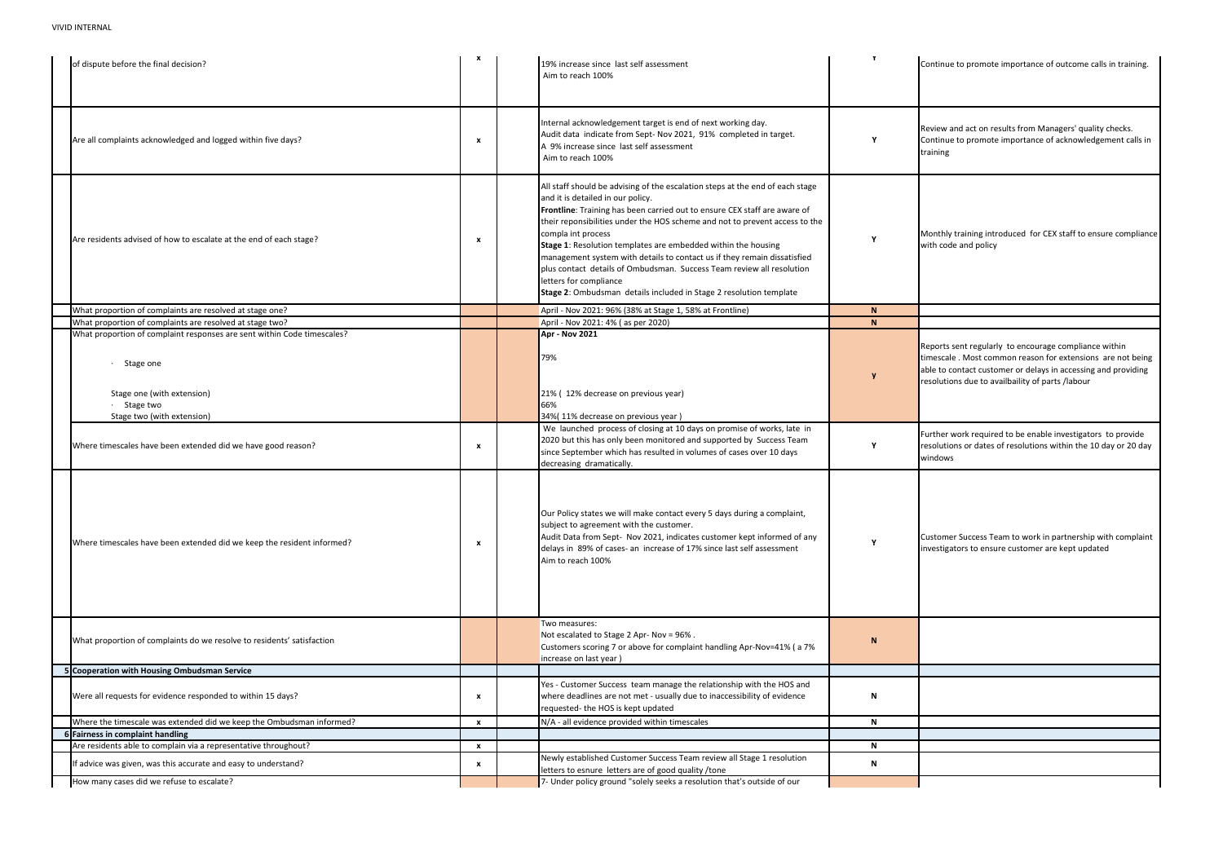Reports sent regularly to encourage compliance within timescale . Most common reason for extensions are not being able to contact customer or delays in accessing and providing resolutions due to availbaility of parts /labour

Monthly training introduced for CEX staff to ensure compliance with code and policy

Further work required to be enable investigators to provide resolutions or dates of resolutions within the 10 day or 20 day windows

| of dispute before the final decision?                                                                                                                           | $\mathbf{x}$     | 19% increase since last self assessment<br>Aim to reach 100%                                                                                                                                                                                                                                                                                                                                                                                                                                                                                                                                                               |   |
|-----------------------------------------------------------------------------------------------------------------------------------------------------------------|------------------|----------------------------------------------------------------------------------------------------------------------------------------------------------------------------------------------------------------------------------------------------------------------------------------------------------------------------------------------------------------------------------------------------------------------------------------------------------------------------------------------------------------------------------------------------------------------------------------------------------------------------|---|
| Are all complaints acknowledged and logged within five days?                                                                                                    | X                | Internal acknowledgement target is end of next working day.<br>Audit data indicate from Sept- Nov 2021, 91% completed in target.<br>A 9% increase since last self assessment<br>Aim to reach 100%                                                                                                                                                                                                                                                                                                                                                                                                                          |   |
| Are residents advised of how to escalate at the end of each stage?                                                                                              | x                | All staff should be advising of the escalation steps at the end of each stage<br>and it is detailed in our policy.<br>Frontline: Training has been carried out to ensure CEX staff are aware of<br>their reponsibilities under the HOS scheme and not to prevent access to the<br>compla int process<br>Stage 1: Resolution templates are embedded within the housing<br>management system with details to contact us if they remain dissatisfied<br>plus contact details of Ombudsman. Success Team review all resolution<br>letters for compliance<br>Stage 2: Ombudsman details included in Stage 2 resolution template |   |
| What proportion of complaints are resolved at stage one?                                                                                                        |                  | April - Nov 2021: 96% (38% at Stage 1, 58% at Frontline)                                                                                                                                                                                                                                                                                                                                                                                                                                                                                                                                                                   | N |
| What proportion of complaints are resolved at stage two?                                                                                                        |                  | April - Nov 2021: 4% (as per 2020)                                                                                                                                                                                                                                                                                                                                                                                                                                                                                                                                                                                         | N |
| What proportion of complaint responses are sent within Code timescales?<br>Stage one<br>Stage one (with extension)<br>· Stage two<br>Stage two (with extension) |                  | Apr - Nov 2021<br>79%<br>21% (12% decrease on previous year)<br>66%<br>34%(11% decrease on previous year)                                                                                                                                                                                                                                                                                                                                                                                                                                                                                                                  |   |
| Where timescales have been extended did we have good reason?                                                                                                    | x                | We launched process of closing at 10 days on promise of works, late in<br>2020 but this has only been monitored and supported by Success Team<br>since September which has resulted in volumes of cases over 10 days<br>decreasing dramatically.                                                                                                                                                                                                                                                                                                                                                                           | Y |
| Where timescales have been extended did we keep the resident informed?                                                                                          | x                | Our Policy states we will make contact every 5 days during a complaint,<br>subject to agreement with the customer.<br>Audit Data from Sept- Nov 2021, indicates customer kept informed of any<br>delays in 89% of cases- an increase of 17% since last self assessment<br>Aim to reach 100%                                                                                                                                                                                                                                                                                                                                | Υ |
| What proportion of complaints do we resolve to residents' satisfaction                                                                                          |                  | Two measures:<br>Not escalated to Stage 2 Apr- Nov = 96%.<br>Customers scoring 7 or above for complaint handling Apr-Nov=41% (a 7%<br>increase on last year)                                                                                                                                                                                                                                                                                                                                                                                                                                                               | N |
| Cooperation with Housing Ombudsman Service                                                                                                                      |                  |                                                                                                                                                                                                                                                                                                                                                                                                                                                                                                                                                                                                                            |   |
| Were all requests for evidence responded to within 15 days?                                                                                                     | x                | Yes - Customer Success team manage the relationship with the HOS and<br>where deadlines are not met - usually due to inaccessibility of evidence<br>requested-the HOS is kept updated                                                                                                                                                                                                                                                                                                                                                                                                                                      | N |
| Where the timescale was extended did we keep the Ombudsman informed?                                                                                            | $\boldsymbol{x}$ | N/A - all evidence provided within timescales                                                                                                                                                                                                                                                                                                                                                                                                                                                                                                                                                                              | N |
| Fairness in complaint handling                                                                                                                                  |                  |                                                                                                                                                                                                                                                                                                                                                                                                                                                                                                                                                                                                                            |   |
| Are residents able to complain via a representative throughout?                                                                                                 | x                |                                                                                                                                                                                                                                                                                                                                                                                                                                                                                                                                                                                                                            | N |
| If advice was given, was this accurate and easy to understand?                                                                                                  | x                | Newly established Customer Success Team review all Stage 1 resolution                                                                                                                                                                                                                                                                                                                                                                                                                                                                                                                                                      | Ν |
| How many cases did we refuse to escalate?                                                                                                                       |                  | letters to esnure letters are of good quality / tone<br>7- Under policy ground "solely seeks a resolution that's outside of our                                                                                                                                                                                                                                                                                                                                                                                                                                                                                            |   |
|                                                                                                                                                                 |                  |                                                                                                                                                                                                                                                                                                                                                                                                                                                                                                                                                                                                                            |   |

Review and act on results from Managers' quality checks. Continue to promote importance of outcome calls in training. **<sup>Y</sup>**

Review and act on results from Managers' quality checks. Continue to promote importance of acknowledgement calls in training

Customer Success Team to work in partnership with complaint investigators to ensure customer are kept updated